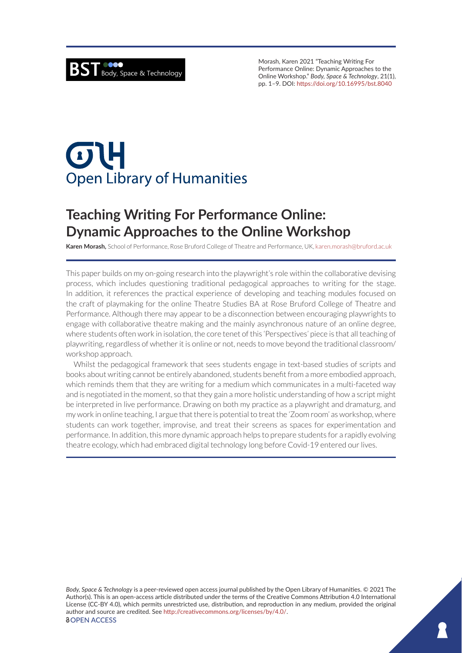Morash, Karen 2021 "Teaching Writing For Performance Online: Dynamic Approaches to the Online Workshop." *Body, Space & Technology*, 21(1), pp. 1–9. DOI: <https://doi.org/10.16995/bst.8040>

# $\sigma$ **Open Library of Humanities**

# **Teaching Writing For Performance Online: Dynamic Approaches to the Online Workshop**

**Karen Morash,** School of Performance, Rose Bruford College of Theatre and Performance, UK, [karen.morash@bruford.ac.uk](mailto:karen.morash@bruford.ac.uk)

This paper builds on my on-going research into the playwright's role within the collaborative devising process, which includes questioning traditional pedagogical approaches to writing for the stage. In addition, it references the practical experience of developing and teaching modules focused on the craft of playmaking for the online Theatre Studies BA at Rose Bruford College of Theatre and Performance. Although there may appear to be a disconnection between encouraging playwrights to engage with collaborative theatre making and the mainly asynchronous nature of an online degree, where students often work in isolation, the core tenet of this 'Perspectives' piece is that all teaching of playwriting, regardless of whether it is online or not, needs to move beyond the traditional classroom/ workshop approach.

Whilst the pedagogical framework that sees students engage in text-based studies of scripts and books about writing cannot be entirely abandoned, students benefit from a more embodied approach, which reminds them that they are writing for a medium which communicates in a multi-faceted way and is negotiated in the moment, so that they gain a more holistic understanding of how a script might be interpreted in live performance. Drawing on both my practice as a playwright and dramaturg, and my work in online teaching, I argue that there is potential to treat the 'Zoom room' as workshop, where students can work together, improvise, and treat their screens as spaces for experimentation and performance. In addition, this more dynamic approach helps to prepare students for a rapidly evolving theatre ecology, which had embraced digital technology long before Covid-19 entered our lives.

*Body, Space & Technology* is a peer-reviewed open access journal published by the Open Library of Humanities. © 2021 The Author(s). This is an open-access article distributed under the terms of the Creative Commons Attribution 4.0 International License (CC-BY 4.0), which permits unrestricted use, distribution, and reproduction in any medium, provided the original author and source are credited. See <http://creativecommons.org/licenses/by/4.0/>. *<u>OOPEN ACCESS</u>*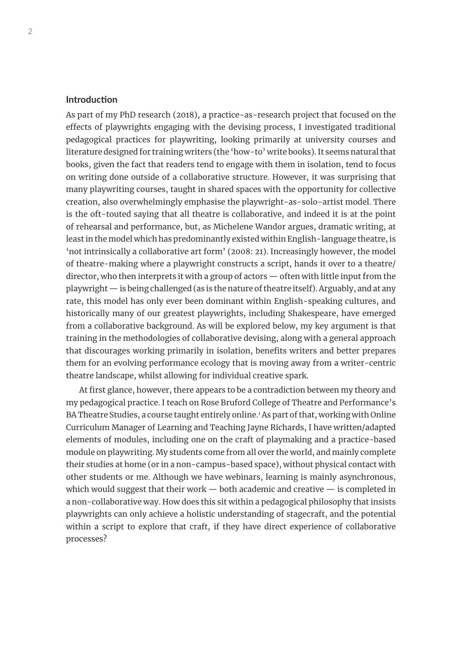# **Introduction**

As part of my PhD research (2018), a practice-as-research project that focused on the effects of playwrights engaging with the devising process, I investigated traditional pedagogical practices for playwriting, looking primarily at university courses and literature designed for training writers (the 'how-to' write books). It seems natural that books, given the fact that readers tend to engage with them in isolation, tend to focus on writing done outside of a collaborative structure. However, it was surprising that many playwriting courses, taught in shared spaces with the opportunity for collective creation, also overwhelmingly emphasise the playwright-as-solo-artist model. There is the oft-touted saying that all theatre is collaborative, and indeed it is at the point of rehearsal and performance, but, as Michelene Wandor argues, dramatic writing, at least in the model which has predominantly existed within English-language theatre, is 'not intrinsically a collaborative art form' (2008: 21). Increasingly however, the model of theatre-making where a playwright constructs a script, hands it over to a theatre/ director, who then interprets it with a group of actors — often with little input from the playwright — is being challenged (as is the nature of theatre itself). Arguably, and at any rate, this model has only ever been dominant within English-speaking cultures, and historically many of our greatest playwrights, including Shakespeare, have emerged from a collaborative background. As will be explored below, my key argument is that training in the methodologies of collaborative devising, along with a general approach that discourages working primarily in isolation, benefits writers and better prepares them for an evolving performance ecology that is moving away from a writer-centric theatre landscape, whilst allowing for individual creative spark.

At first glance, however, there appears to be a contradiction between my theory and my pedagogical practice. I teach on Rose Bruford College of Theatre and Performance's BA Theatre Studies, a course taught entirely online.<sup>1</sup> As part of that, working with Online Curriculum Manager of Learning and Teaching Jayne Richards, I have written/adapted elements of modules, including one on the craft of playmaking and a practice-based module on playwriting. My students come from all over the world, and mainly complete their studies at home (or in a non-campus-based space), without physical contact with other students or me. Although we have webinars, learning is mainly asynchronous, which would suggest that their work  $-$  both academic and creative  $-$  is completed in a non-collaborative way. How does this sit within a pedagogical philosophy that insists playwrights can only achieve a holistic understanding of stagecraft, and the potential within a script to explore that craft, if they have direct experience of collaborative processes?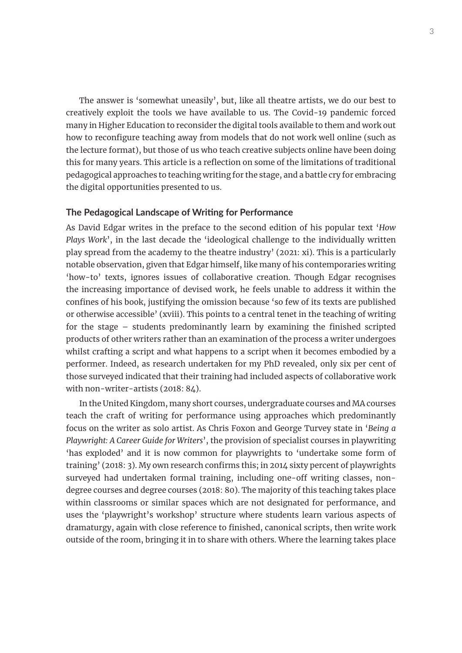The answer is 'somewhat uneasily', but, like all theatre artists, we do our best to creatively exploit the tools we have available to us. The Covid-19 pandemic forced many in Higher Education to reconsider the digital tools available to them and work out how to reconfigure teaching away from models that do not work well online (such as the lecture format), but those of us who teach creative subjects online have been doing this for many years. This article is a reflection on some of the limitations of traditional pedagogical approaches to teaching writing for the stage, and a battle cry for embracing the digital opportunities presented to us.

### **The Pedagogical Landscape of Writing for Performance**

As David Edgar writes in the preface to the second edition of his popular text '*How Plays Work*', in the last decade the 'ideological challenge to the individually written play spread from the academy to the theatre industry' (2021: xi). This is a particularly notable observation, given that Edgar himself, like many of his contemporaries writing 'how-to' texts, ignores issues of collaborative creation. Though Edgar recognises the increasing importance of devised work, he feels unable to address it within the confines of his book, justifying the omission because 'so few of its texts are published or otherwise accessible' (xviii). This points to a central tenet in the teaching of writing for the stage – students predominantly learn by examining the finished scripted products of other writers rather than an examination of the process a writer undergoes whilst crafting a script and what happens to a script when it becomes embodied by a performer. Indeed, as research undertaken for my PhD revealed, only six per cent of those surveyed indicated that their training had included aspects of collaborative work with non-writer-artists (2018: 84).

In the United Kingdom, many short courses, undergraduate courses and MA courses teach the craft of writing for performance using approaches which predominantly focus on the writer as solo artist. As Chris Foxon and George Turvey state in '*Being a Playwright: A Career Guide for Writers*', the provision of specialist courses in playwriting 'has exploded' and it is now common for playwrights to 'undertake some form of training' (2018: 3). My own research confirms this; in 2014 sixty percent of playwrights surveyed had undertaken formal training, including one-off writing classes, nondegree courses and degree courses (2018: 80). The majority of this teaching takes place within classrooms or similar spaces which are not designated for performance, and uses the 'playwright's workshop' structure where students learn various aspects of dramaturgy, again with close reference to finished, canonical scripts, then write work outside of the room, bringing it in to share with others. Where the learning takes place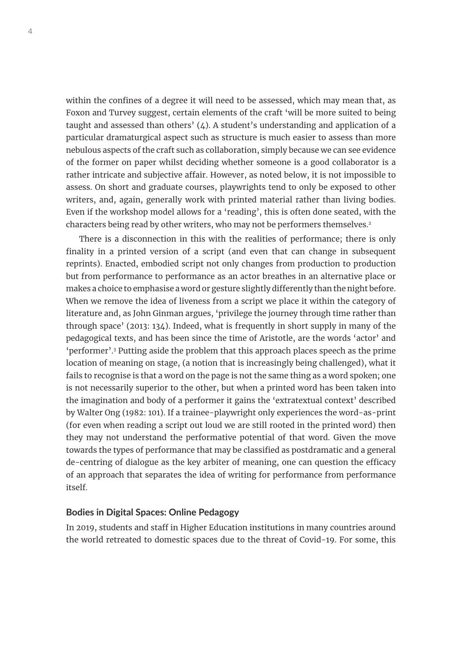within the confines of a degree it will need to be assessed, which may mean that, as Foxon and Turvey suggest, certain elements of the craft 'will be more suited to being taught and assessed than others'  $(4)$ . A student's understanding and application of a particular dramaturgical aspect such as structure is much easier to assess than more nebulous aspects of the craft such as collaboration, simply because we can see evidence of the former on paper whilst deciding whether someone is a good collaborator is a rather intricate and subjective affair. However, as noted below, it is not impossible to assess. On short and graduate courses, playwrights tend to only be exposed to other writers, and, again, generally work with printed material rather than living bodies. Even if the workshop model allows for a 'reading', this is often done seated, with the characters being read by other writers, who may not be performers themselves.<sup>2</sup>

There is a disconnection in this with the realities of performance; there is only finality in a printed version of a script (and even that can change in subsequent reprints). Enacted, embodied script not only changes from production to production but from performance to performance as an actor breathes in an alternative place or makes a choice to emphasise a word or gesture slightly differently than the night before. When we remove the idea of liveness from a script we place it within the category of literature and, as John Ginman argues, 'privilege the journey through time rather than through space' (2013: 134). Indeed, what is frequently in short supply in many of the pedagogical texts, and has been since the time of Aristotle, are the words 'actor' and 'performer'.3 Putting aside the problem that this approach places speech as the prime location of meaning on stage, (a notion that is increasingly being challenged), what it fails to recognise is that a word on the page is not the same thing as a word spoken; one is not necessarily superior to the other, but when a printed word has been taken into the imagination and body of a performer it gains the 'extratextual context' described by Walter Ong (1982: 101). If a trainee-playwright only experiences the word-as-print (for even when reading a script out loud we are still rooted in the printed word) then they may not understand the performative potential of that word. Given the move towards the types of performance that may be classified as postdramatic and a general de-centring of dialogue as the key arbiter of meaning, one can question the efficacy of an approach that separates the idea of writing for performance from performance itself.

## **Bodies in Digital Spaces: Online Pedagogy**

In 2019, students and staff in Higher Education institutions in many countries around the world retreated to domestic spaces due to the threat of Covid-19. For some, this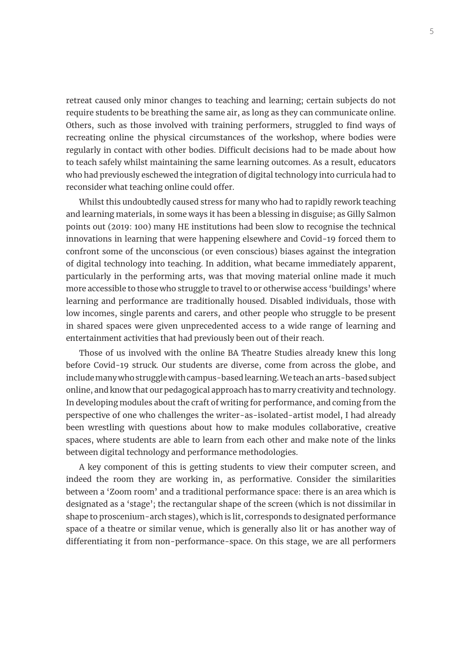retreat caused only minor changes to teaching and learning; certain subjects do not require students to be breathing the same air, as long as they can communicate online. Others, such as those involved with training performers, struggled to find ways of recreating online the physical circumstances of the workshop, where bodies were regularly in contact with other bodies. Difficult decisions had to be made about how to teach safely whilst maintaining the same learning outcomes. As a result, educators who had previously eschewed the integration of digital technology into curricula had to reconsider what teaching online could offer.

Whilst this undoubtedly caused stress for many who had to rapidly rework teaching and learning materials, in some ways it has been a blessing in disguise; as Gilly Salmon points out (2019: 100) many HE institutions had been slow to recognise the technical innovations in learning that were happening elsewhere and Covid-19 forced them to confront some of the unconscious (or even conscious) biases against the integration of digital technology into teaching. In addition, what became immediately apparent, particularly in the performing arts, was that moving material online made it much more accessible to those who struggle to travel to or otherwise access 'buildings' where learning and performance are traditionally housed. Disabled individuals, those with low incomes, single parents and carers, and other people who struggle to be present in shared spaces were given unprecedented access to a wide range of learning and entertainment activities that had previously been out of their reach.

Those of us involved with the online BA Theatre Studies already knew this long before Covid-19 struck. Our students are diverse, come from across the globe, and include many who struggle with campus-based learning. We teach an arts-based subject online, and know that our pedagogical approach has to marry creativity and technology. In developing modules about the craft of writing for performance, and coming from the perspective of one who challenges the writer-as-isolated-artist model, I had already been wrestling with questions about how to make modules collaborative, creative spaces, where students are able to learn from each other and make note of the links between digital technology and performance methodologies.

A key component of this is getting students to view their computer screen, and indeed the room they are working in, as performative. Consider the similarities between a 'Zoom room' and a traditional performance space: there is an area which is designated as a 'stage'; the rectangular shape of the screen (which is not dissimilar in shape to proscenium-arch stages), which is lit, corresponds to designated performance space of a theatre or similar venue, which is generally also lit or has another way of differentiating it from non-performance-space. On this stage, we are all performers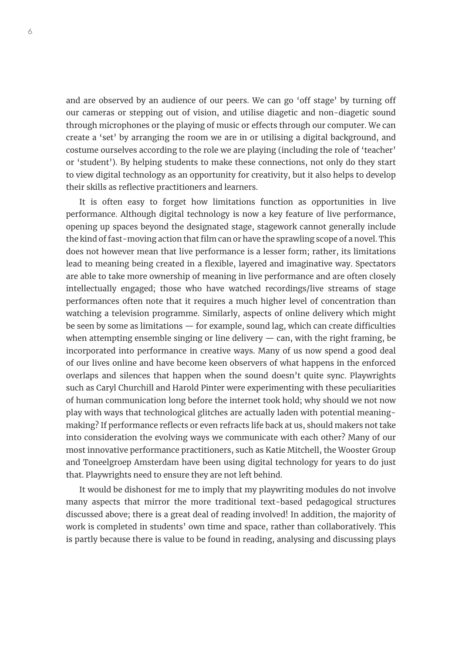and are observed by an audience of our peers. We can go 'off stage' by turning off our cameras or stepping out of vision, and utilise diagetic and non-diagetic sound through microphones or the playing of music or effects through our computer. We can create a 'set' by arranging the room we are in or utilising a digital background, and costume ourselves according to the role we are playing (including the role of 'teacher' or 'student'). By helping students to make these connections, not only do they start to view digital technology as an opportunity for creativity, but it also helps to develop their skills as reflective practitioners and learners.

It is often easy to forget how limitations function as opportunities in live performance. Although digital technology is now a key feature of live performance, opening up spaces beyond the designated stage, stagework cannot generally include the kind of fast-moving action that film can or have the sprawling scope of a novel. This does not however mean that live performance is a lesser form; rather, its limitations lead to meaning being created in a flexible, layered and imaginative way. Spectators are able to take more ownership of meaning in live performance and are often closely intellectually engaged; those who have watched recordings/live streams of stage performances often note that it requires a much higher level of concentration than watching a television programme. Similarly, aspects of online delivery which might be seen by some as limitations — for example, sound lag, which can create difficulties when attempting ensemble singing or line delivery  $-$  can, with the right framing, be incorporated into performance in creative ways. Many of us now spend a good deal of our lives online and have become keen observers of what happens in the enforced overlaps and silences that happen when the sound doesn't quite sync. Playwrights such as Caryl Churchill and Harold Pinter were experimenting with these peculiarities of human communication long before the internet took hold; why should we not now play with ways that technological glitches are actually laden with potential meaningmaking? If performance reflects or even refracts life back at us, should makers not take into consideration the evolving ways we communicate with each other? Many of our most innovative performance practitioners, such as Katie Mitchell, the Wooster Group and Toneelgroep Amsterdam have been using digital technology for years to do just that. Playwrights need to ensure they are not left behind.

It would be dishonest for me to imply that my playwriting modules do not involve many aspects that mirror the more traditional text-based pedagogical structures discussed above; there is a great deal of reading involved! In addition, the majority of work is completed in students' own time and space, rather than collaboratively. This is partly because there is value to be found in reading, analysing and discussing plays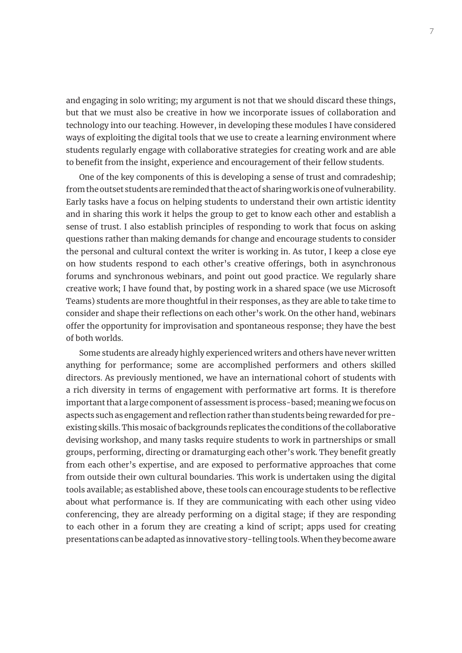and engaging in solo writing; my argument is not that we should discard these things, but that we must also be creative in how we incorporate issues of collaboration and technology into our teaching. However, in developing these modules I have considered ways of exploiting the digital tools that we use to create a learning environment where students regularly engage with collaborative strategies for creating work and are able to benefit from the insight, experience and encouragement of their fellow students.

One of the key components of this is developing a sense of trust and comradeship; from the outset students are reminded that the act of sharing work is one of vulnerability. Early tasks have a focus on helping students to understand their own artistic identity and in sharing this work it helps the group to get to know each other and establish a sense of trust. I also establish principles of responding to work that focus on asking questions rather than making demands for change and encourage students to consider the personal and cultural context the writer is working in. As tutor, I keep a close eye on how students respond to each other's creative offerings, both in asynchronous forums and synchronous webinars, and point out good practice. We regularly share creative work; I have found that, by posting work in a shared space (we use Microsoft Teams) students are more thoughtful in their responses, as they are able to take time to consider and shape their reflections on each other's work. On the other hand, webinars offer the opportunity for improvisation and spontaneous response; they have the best of both worlds.

Some students are already highly experienced writers and others have never written anything for performance; some are accomplished performers and others skilled directors. As previously mentioned, we have an international cohort of students with a rich diversity in terms of engagement with performative art forms. It is therefore important that a large component of assessment is process-based; meaning we focus on aspects such as engagement and reflection rather than students being rewarded for preexisting skills. This mosaic of backgrounds replicates the conditions of the collaborative devising workshop, and many tasks require students to work in partnerships or small groups, performing, directing or dramaturging each other's work. They benefit greatly from each other's expertise, and are exposed to performative approaches that come from outside their own cultural boundaries. This work is undertaken using the digital tools available; as established above, these tools can encourage students to be reflective about what performance is. If they are communicating with each other using video conferencing, they are already performing on a digital stage; if they are responding to each other in a forum they are creating a kind of script; apps used for creating presentations can be adapted as innovative story-telling tools. When they become aware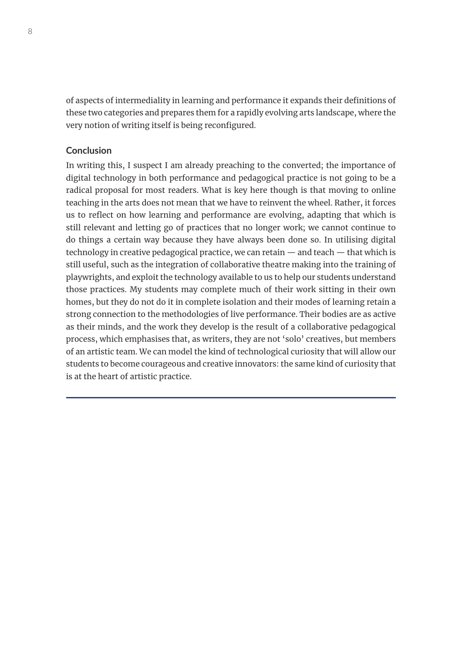of aspects of intermediality in learning and performance it expands their definitions of these two categories and prepares them for a rapidly evolving arts landscape, where the very notion of writing itself is being reconfigured.

# **Conclusion**

In writing this, I suspect I am already preaching to the converted; the importance of digital technology in both performance and pedagogical practice is not going to be a radical proposal for most readers. What is key here though is that moving to online teaching in the arts does not mean that we have to reinvent the wheel. Rather, it forces us to reflect on how learning and performance are evolving, adapting that which is still relevant and letting go of practices that no longer work; we cannot continue to do things a certain way because they have always been done so. In utilising digital technology in creative pedagogical practice, we can retain — and teach — that which is still useful, such as the integration of collaborative theatre making into the training of playwrights, and exploit the technology available to us to help our students understand those practices. My students may complete much of their work sitting in their own homes, but they do not do it in complete isolation and their modes of learning retain a strong connection to the methodologies of live performance. Their bodies are as active as their minds, and the work they develop is the result of a collaborative pedagogical process, which emphasises that, as writers, they are not 'solo' creatives, but members of an artistic team. We can model the kind of technological curiosity that will allow our students to become courageous and creative innovators: the same kind of curiosity that is at the heart of artistic practice.